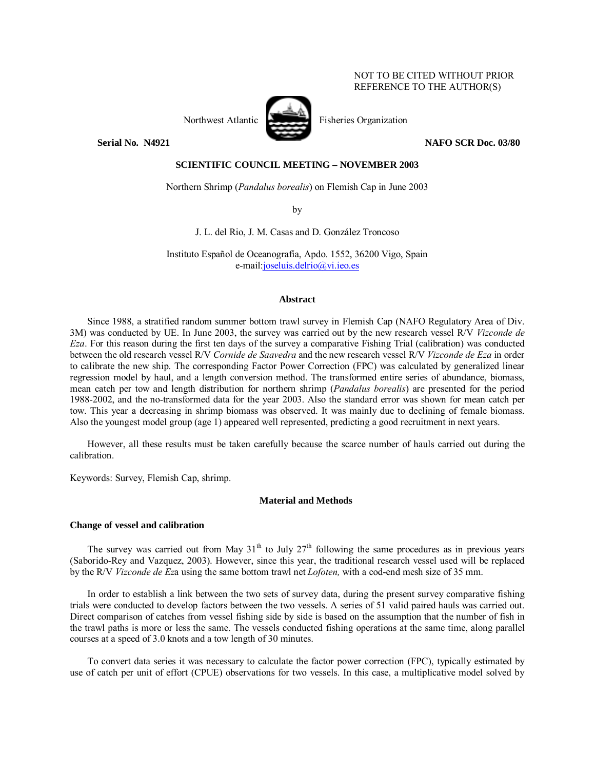## NOT TO BE CITED WITHOUT PRIOR REFERENCE TO THE AUTHOR(S)



Northwest Atlantic Fisheries Organization

**Serial No. 14921 NAFO SCR Doc. 03/80 NAFO SCR Doc. 03/80** 

# **SCIENTIFIC COUNCIL MEETING – NOVEMBER 2003**

Northern Shrimp (*Pandalus borealis*) on Flemish Cap in June 2003

by

J. L. del Rio, J. M. Casas and D. González Troncoso

Instituto Español de Oceanografía, Apdo. 1552, 36200 Vigo, Spain e-mail:joseluis.delrio@vi.ieo.es

### **Abstract**

Since 1988, a stratified random summer bottom trawl survey in Flemish Cap (NAFO Regulatory Area of Div. 3M) was conducted by UE. In June 2003, the survey was carried out by the new research vessel R/V *Vizconde de Eza*. For this reason during the first ten days of the survey a comparative Fishing Trial (calibration) was conducted between the old research vessel R/V *Cornide de Saavedra* and the new research vessel R/V *Vizconde de Eza* in order to calibrate the new ship. The corresponding Factor Power Correction (FPC) was calculated by generalized linear regression model by haul, and a length conversion method. The transformed entire series of abundance, biomass, mean catch per tow and length distribution for northern shrimp (*Pandalus borealis*) are presented for the period 1988-2002, and the no-transformed data for the year 2003. Also the standard error was shown for mean catch per tow. This year a decreasing in shrimp biomass was observed. It was mainly due to declining of female biomass. Also the youngest model group (age 1) appeared well represented, predicting a good recruitment in next years.

However, all these results must be taken carefully because the scarce number of hauls carried out during the calibration.

Keywords: Survey, Flemish Cap, shrimp.

#### **Material and Methods**

#### **Change of vessel and calibration**

The survey was carried out from May  $31<sup>th</sup>$  to July  $27<sup>th</sup>$  following the same procedures as in previous vears (Saborido-Rey and Vazquez, 2003). However, since this year, the traditional research vessel used will be replaced by the R/V *Vizconde de Ez*a using the same bottom trawl net *Lofoten,* with a cod-end mesh size of 35 mm.

In order to establish a link between the two sets of survey data, during the present survey comparative fishing trials were conducted to develop factors between the two vessels. A series of 51 valid paired hauls was carried out. Direct comparison of catches from vessel fishing side by side is based on the assumption that the number of fish in the trawl paths is more or less the same. The vessels conducted fishing operations at the same time, along parallel courses at a speed of 3.0 knots and a tow length of 30 minutes.

To convert data series it was necessary to calculate the factor power correction (FPC), typically estimated by use of catch per unit of effort (CPUE) observations for two vessels. In this case, a multiplicative model solved by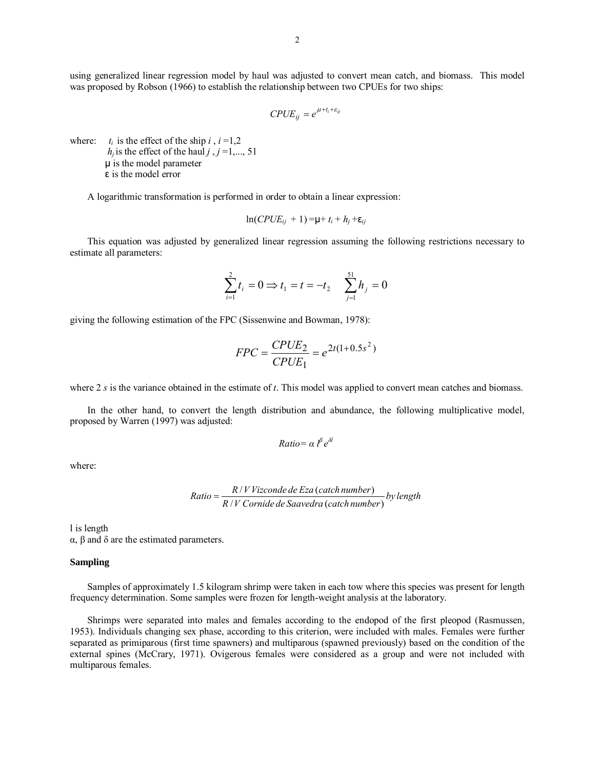using generalized linear regression model by haul was adjusted to convert mean catch, and biomass. This model was proposed by Robson (1966) to establish the relationship between two CPUEs for two ships:

$$
CPUE_{ij} = e^{\mu + t_i + \varepsilon_{ij}}
$$

where:  $t_i$  is the effect of the ship  $i$ ,  $i = 1,2$  $h_i$  is the effect of the haul *j*,  $j = 1, \ldots, 51$ µ is the model parameter ε is the model error

A logarithmic transformation is performed in order to obtain a linear expression:

$$
\ln(CPUE_{ij} + 1) = \mu + t_i + h_j + \varepsilon_{ij}
$$

This equation was adjusted by generalized linear regression assuming the following restrictions necessary to estimate all parameters:

$$
\sum_{i=1}^{2} t_i = 0 \Longrightarrow t_1 = t = -t_2 \qquad \sum_{j=1}^{51} h_j = 0
$$

giving the following estimation of the FPC (Sissenwine and Bowman, 1978):

$$
FPC = \frac{CPUE_2}{CPUE_1} = e^{2t(1+0.5s^2)}
$$

where 2 *s* is the variance obtained in the estimate of *t*. This model was applied to convert mean catches and biomass.

In the other hand, to convert the length distribution and abundance, the following multiplicative model, proposed by Warren (1997) was adjusted:

$$
Ratio = \alpha l^{\beta} e^{\delta l}
$$

where:

Ratio = 
$$
\frac{R/VVizconde de Eza (catch number)}{R/V Cornide de Saavedra (catch number)} by length
$$

l is length

α, β and δ are the estimated parameters.

# **Sampling**

Samples of approximately 1.5 kilogram shrimp were taken in each tow where this species was present for length frequency determination. Some samples were frozen for length-weight analysis at the laboratory.

Shrimps were separated into males and females according to the endopod of the first pleopod (Rasmussen, 1953). Individuals changing sex phase, according to this criterion, were included with males. Females were further separated as primiparous (first time spawners) and multiparous (spawned previously) based on the condition of the external spines (McCrary, 1971). Ovigerous females were considered as a group and were not included with multiparous females.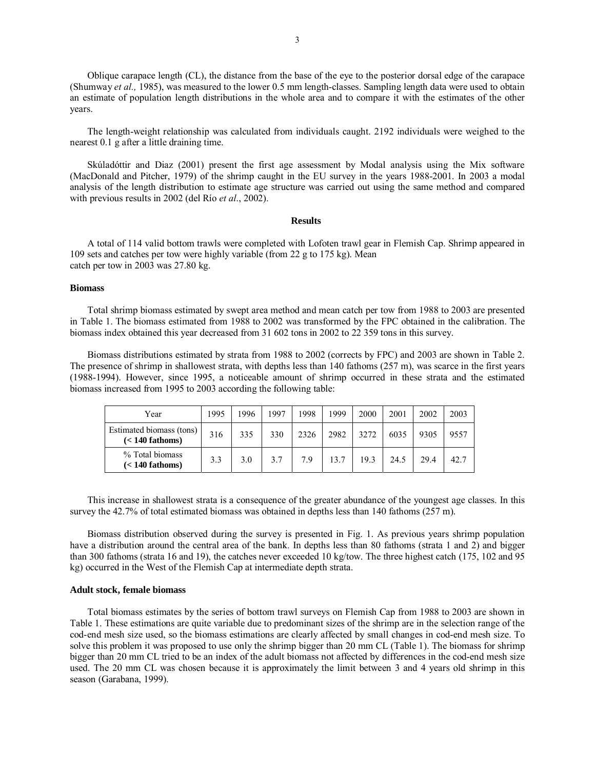Oblique carapace length (CL), the distance from the base of the eye to the posterior dorsal edge of the carapace (Shumway *et al.,* 1985), was measured to the lower 0.5 mm length-classes. Sampling length data were used to obtain an estimate of population length distributions in the whole area and to compare it with the estimates of the other years.

The length-weight relationship was calculated from individuals caught. 2192 individuals were weighed to the nearest 0.1 g after a little draining time.

Skúladóttir and Diaz (2001) present the first age assessment by Modal analysis using the Mix software (MacDonald and Pitcher, 1979) of the shrimp caught in the EU survey in the years 1988-2001. In 2003 a modal analysis of the length distribution to estimate age structure was carried out using the same method and compared with previous results in 2002 (del Río *et al.*, 2002).

#### **Results**

A total of 114 valid bottom trawls were completed with Lofoten trawl gear in Flemish Cap. Shrimp appeared in 109 sets and catches per tow were highly variable (from 22 g to 175 kg). Mean catch per tow in 2003 was 27.80 kg.

### **Biomass**

Total shrimp biomass estimated by swept area method and mean catch per tow from 1988 to 2003 are presented in Table 1. The biomass estimated from 1988 to 2002 was transformed by the FPC obtained in the calibration. The biomass index obtained this year decreased from 31 602 tons in 2002 to 22 359 tons in this survey.

Biomass distributions estimated by strata from 1988 to 2002 (corrects by FPC) and 2003 are shown in Table 2. The presence of shrimp in shallowest strata, with depths less than 140 fathoms (257 m), was scarce in the first years (1988-1994). However, since 1995, a noticeable amount of shrimp occurred in these strata and the estimated biomass increased from 1995 to 2003 according the following table:

| Year                                          | 1995 | 1996 | 1997 | 1998 | 1999 | 2000 | 2001 | 2002 | 2003 |
|-----------------------------------------------|------|------|------|------|------|------|------|------|------|
| Estimated biomass (tons)<br>$(< 140$ fathoms) | 316  | 335  | 330  | 2326 | 2982 | 3272 | 6035 | 9305 | 9557 |
| % Total biomass<br>$(< 140$ fathoms)          | 3.3  | 3.0  | 3.7  | 7.9  | 13.7 | 19.3 | 24.5 | 29.4 | 42.7 |

This increase in shallowest strata is a consequence of the greater abundance of the youngest age classes. In this survey the 42.7% of total estimated biomass was obtained in depths less than 140 fathoms (257 m).

Biomass distribution observed during the survey is presented in Fig. 1. As previous years shrimp population have a distribution around the central area of the bank. In depths less than 80 fathoms (strata 1 and 2) and bigger than 300 fathoms (strata 16 and 19), the catches never exceeded 10 kg/tow. The three highest catch (175, 102 and 95 kg) occurred in the West of the Flemish Cap at intermediate depth strata.

#### **Adult stock, female biomass**

Total biomass estimates by the series of bottom trawl surveys on Flemish Cap from 1988 to 2003 are shown in Table 1. These estimations are quite variable due to predominant sizes of the shrimp are in the selection range of the cod-end mesh size used, so the biomass estimations are clearly affected by small changes in cod-end mesh size. To solve this problem it was proposed to use only the shrimp bigger than 20 mm CL (Table 1). The biomass for shrimp bigger than 20 mm CL tried to be an index of the adult biomass not affected by differences in the cod-end mesh size used. The 20 mm CL was chosen because it is approximately the limit between 3 and 4 years old shrimp in this season (Garabana, 1999).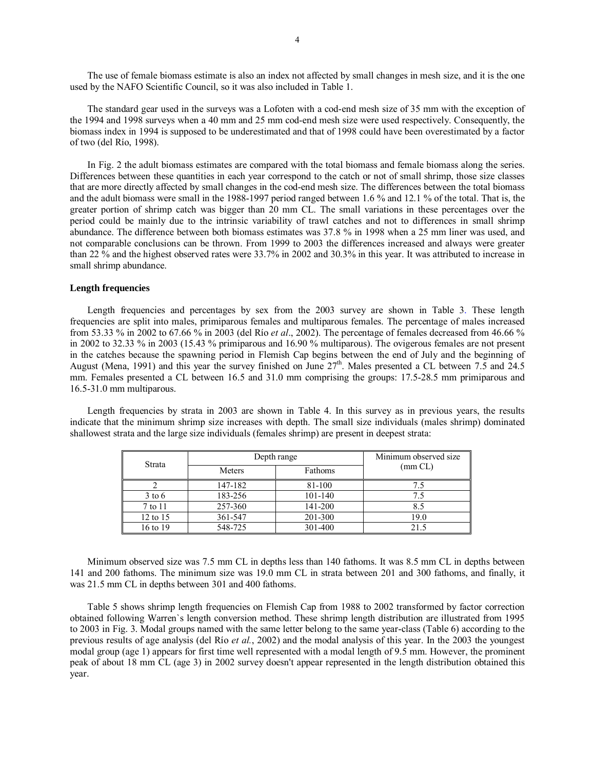The use of female biomass estimate is also an index not affected by small changes in mesh size, and it is the one used by the NAFO Scientific Council, so it was also included in Table 1.

The standard gear used in the surveys was a Lofoten with a cod-end mesh size of 35 mm with the exception of the 1994 and 1998 surveys when a 40 mm and 25 mm cod-end mesh size were used respectively. Consequently, the biomass index in 1994 is supposed to be underestimated and that of 1998 could have been overestimated by a factor of two (del RÌo, 1998).

In Fig. 2 the adult biomass estimates are compared with the total biomass and female biomass along the series. Differences between these quantities in each year correspond to the catch or not of small shrimp, those size classes that are more directly affected by small changes in the cod-end mesh size. The differences between the total biomass and the adult biomass were small in the 1988-1997 period ranged between 1.6 % and 12.1 % of the total. That is, the greater portion of shrimp catch was bigger than 20 mm CL. The small variations in these percentages over the period could be mainly due to the intrinsic variability of trawl catches and not to differences in small shrimp abundance. The difference between both biomass estimates was 37.8 % in 1998 when a 25 mm liner was used, and not comparable conclusions can be thrown. From 1999 to 2003 the differences increased and always were greater than 22 % and the highest observed rates were 33.7% in 2002 and 30.3% in this year. It was attributed to increase in small shrimp abundance.

## **Length frequencies**

Length frequencies and percentages by sex from the 2003 survey are shown in Table 3. These length frequencies are split into males, primiparous females and multiparous females. The percentage of males increased from 53.33 % in 2002 to 67.66 % in 2003 (del RÌo *et al*., 2002). The percentage of females decreased from 46.66 % in 2002 to 32.33 % in 2003 (15.43 % primiparous and 16.90 % multiparous). The ovigerous females are not present in the catches because the spawning period in Flemish Cap begins between the end of July and the beginning of August (Mena, 1991) and this year the survey finished on June  $27<sup>th</sup>$ . Males presented a CL between 7.5 and 24.5 mm. Females presented a CL between 16.5 and 31.0 mm comprising the groups: 17.5-28.5 mm primiparous and 16.5-31.0 mm multiparous.

Length frequencies by strata in 2003 are shown in Table 4. In this survey as in previous years, the results indicate that the minimum shrimp size increases with depth. The small size individuals (males shrimp) dominated shallowest strata and the large size individuals (females shrimp) are present in deepest strata:

| Strata   |         | Minimum observed size<br>Depth range |      |  |  |  |  |  |  |
|----------|---------|--------------------------------------|------|--|--|--|--|--|--|
|          | Meters  | $\text{(mm CL)}$                     |      |  |  |  |  |  |  |
|          | 147-182 | 81-100                               | 7.5  |  |  |  |  |  |  |
| $3$ to 6 | 183-256 | 101-140                              | 7.5  |  |  |  |  |  |  |
| 7 to 11  | 257-360 | 141-200                              | 8.5  |  |  |  |  |  |  |
| 12 to 15 | 361-547 | 201-300                              | 19.0 |  |  |  |  |  |  |
| 16 to 19 | 548-725 | 301-400                              | 21.5 |  |  |  |  |  |  |

Minimum observed size was 7.5 mm CL in depths less than 140 fathoms. It was 8.5 mm CL in depths between 141 and 200 fathoms. The minimum size was 19.0 mm CL in strata between 201 and 300 fathoms, and finally, it was 21.5 mm CL in depths between 301 and 400 fathoms.

Table 5 shows shrimp length frequencies on Flemish Cap from 1988 to 2002 transformed by factor correction obtained following Warren`s length conversion method. These shrimp length distribution are illustrated from 1995 to 2003 in Fig. 3. Modal groups named with the same letter belong to the same year-class (Table 6) according to the previous results of age analysis (del Río *et al.*, 2002) and the modal analysis of this year. In the 2003 the youngest modal group (age 1) appears for first time well represented with a modal length of 9.5 mm. However, the prominent peak of about 18 mm CL (age 3) in 2002 survey doesn't appear represented in the length distribution obtained this year.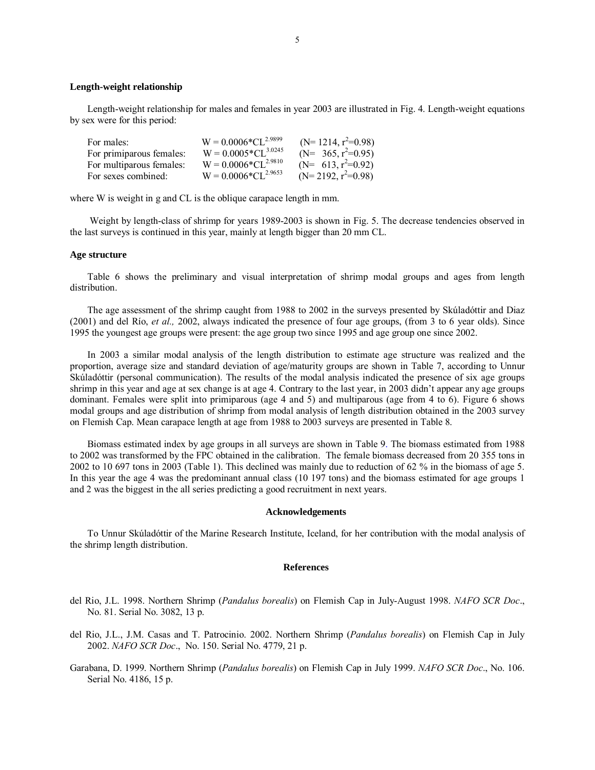#### **Length-weight relationship**

Length-weight relationship for males and females in year 2003 are illustrated in Fig. 4. Length-weight equations by sex were for this period:

| For males:               | $W = 0.0006*CL^{2.9899}$        | $(N=1214, r^2=0.98)$  |
|--------------------------|---------------------------------|-----------------------|
| For primiparous females: | $W = 0.0005 \times CL^{3.0245}$ | $(N= 365, r^2=0.95)$  |
| For multiparous females: | $W = 0.0006 \times CL^{2.9810}$ | (N= 613, $r^2=0.92$ ) |
| For sexes combined:      | $W = 0.0006 \times CL^{2.9653}$ | $(N=2192, r^2=0.98)$  |

where W is weight in g and CL is the oblique carapace length in mm.

Weight by length-class of shrimp for years 1989-2003 is shown in Fig. 5. The decrease tendencies observed in the last surveys is continued in this year, mainly at length bigger than 20 mm CL.

### **Age structure**

Table 6 shows the preliminary and visual interpretation of shrimp modal groups and ages from length distribution.

The age assessment of the shrimp caught from 1988 to 2002 in the surveys presented by Skúladóttir and Diaz (2001) and del Río, *et al.*, 2002, always indicated the presence of four age groups, (from 3 to 6 year olds). Since 1995 the youngest age groups were present: the age group two since 1995 and age group one since 2002.

In 2003 a similar modal analysis of the length distribution to estimate age structure was realized and the proportion, average size and standard deviation of age/maturity groups are shown in Table 7, according to Unnur Skúladóttir (personal communication). The results of the modal analysis indicated the presence of six age groups shrimp in this year and age at sex change is at age 4. Contrary to the last year, in 2003 didn't appear any age groups dominant. Females were split into primiparous (age 4 and 5) and multiparous (age from 4 to 6). Figure 6 shows modal groups and age distribution of shrimp from modal analysis of length distribution obtained in the 2003 survey on Flemish Cap. Mean carapace length at age from 1988 to 2003 surveys are presented in Table 8.

Biomass estimated index by age groups in all surveys are shown in Table 9. The biomass estimated from 1988 to 2002 was transformed by the FPC obtained in the calibration. The female biomass decreased from 20 355 tons in 2002 to 10 697 tons in 2003 (Table 1). This declined was mainly due to reduction of 62 % in the biomass of age 5. In this year the age 4 was the predominant annual class (10 197 tons) and the biomass estimated for age groups 1 and 2 was the biggest in the all series predicting a good recruitment in next years.

#### **Acknowledgements**

To Unnur Sk˙ladÛttir of the Marine Research Institute, Iceland, for her contribution with the modal analysis of the shrimp length distribution.

## **References**

- del Rio, J.L. 1998. Northern Shrimp (*Pandalus borealis*) on Flemish Cap in July-August 1998. *NAFO SCR Doc*., No. 81. Serial No. 3082, 13 p.
- del Rio, J.L., J.M. Casas and T. Patrocinio. 2002. Northern Shrimp (*Pandalus borealis*) on Flemish Cap in July 2002. *NAFO SCR Doc*., No. 150. Serial No. 4779, 21 p.
- Garabana, D. 1999. Northern Shrimp (*Pandalus borealis*) on Flemish Cap in July 1999. *NAFO SCR Doc*., No. 106. Serial No. 4186, 15 p.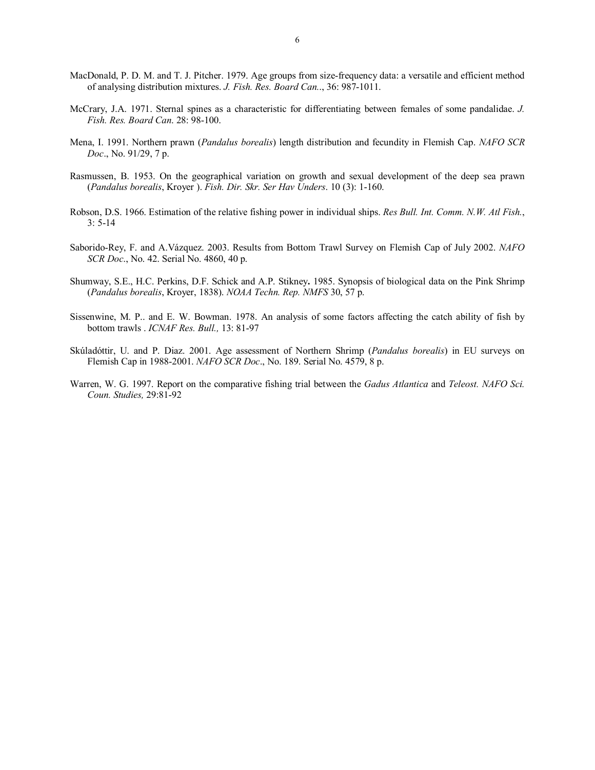- MacDonald, P. D. M. and T. J. Pitcher. 1979. Age groups from size-frequency data: a versatile and efficient method of analysing distribution mixtures. *J. Fish. Res. Board Can.*., 36: 987-1011.
- McCrary, J.A. 1971. Sternal spines as a characteristic for differentiating between females of some pandalidae. *J. Fish. Res. Board Can*. 28: 98-100.
- Mena, I. 1991. Northern prawn (*Pandalus borealis*) length distribution and fecundity in Flemish Cap. *NAFO SCR Doc*., No. 91/29, 7 p.
- Rasmussen, B. 1953. On the geographical variation on growth and sexual development of the deep sea prawn (*Pandalus borealis*, Kroyer ). *Fish. Dir. Skr. Ser Hav Unders*. 10 (3): 1-160.
- Robson, D.S. 1966. Estimation of the relative fishing power in individual ships. *Res Bull. Int. Comm. N.W. Atl Fish.*, 3: 5-14
- Saborido-Rey, F. and A.Vázquez. 2003. Results from Bottom Trawl Survey on Flemish Cap of July 2002. *NAFO SCR Doc*., No. 42. Serial No. 4860, 40 p.
- Shumway, S.E., H.C. Perkins, D.F. Schick and A.P. Stikney**.** 1985. Synopsis of biological data on the Pink Shrimp (*Pandalus borealis*, Kroyer, 1838). *NOAA Techn. Rep. NMFS* 30, 57 p.
- Sissenwine, M. P.. and E. W. Bowman. 1978. An analysis of some factors affecting the catch ability of fish by bottom trawls . *ICNAF Res. Bull.,* 13: 81-97
- Skúladóttir, U. and P. Diaz. 2001. Age assessment of Northern Shrimp (*Pandalus borealis*) in EU surveys on Flemish Cap in 1988-2001. *NAFO SCR Doc*., No. 189. Serial No. 4579, 8 p.
- Warren, W. G. 1997. Report on the comparative fishing trial between the *Gadus Atlantica* and *Teleost. NAFO Sci. Coun. Studies,* 29:81-92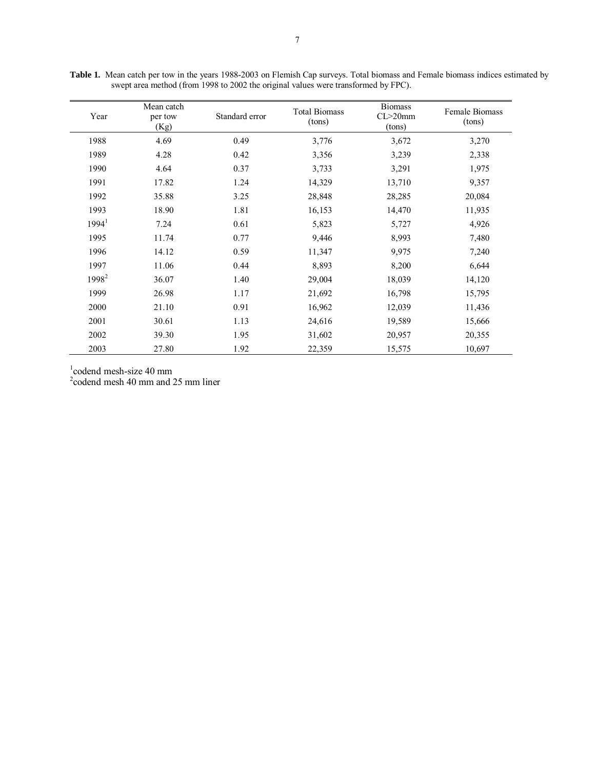| Year              | Mean catch<br>per tow<br>(Kg) | Standard error | <b>Total Biomass</b><br>(tons) | <b>Biomass</b><br>$CL > 20$ mm<br>(tons) | <b>Female Biomass</b><br>(tons) |
|-------------------|-------------------------------|----------------|--------------------------------|------------------------------------------|---------------------------------|
| 1988              | 4.69                          | 0.49           | 3,776                          | 3,672                                    | 3,270                           |
| 1989              | 4.28                          | 0.42           | 3,356                          | 3,239                                    | 2,338                           |
| 1990              | 4.64                          | 0.37           | 3,733                          | 3,291                                    | 1,975                           |
| 1991              | 17.82                         | 1.24           | 14,329                         | 13,710                                   | 9,357                           |
| 1992              | 35.88                         | 3.25           | 28,848                         | 28,285                                   | 20,084                          |
| 1993              | 18.90                         | 1.81           | 16,153                         | 14,470                                   | 11,935                          |
| 1994 <sup>1</sup> | 7.24                          | 0.61           | 5,823                          | 5,727                                    | 4,926                           |
| 1995              | 11.74                         | 0.77           | 9,446                          | 8,993                                    | 7,480                           |
| 1996              | 14.12                         | 0.59           | 11,347                         | 9,975                                    | 7,240                           |
| 1997              | 11.06                         | 0.44           | 8,893                          | 8,200                                    | 6,644                           |
| 1998 <sup>2</sup> | 36.07                         | 1.40           | 29,004                         | 18,039                                   | 14,120                          |
| 1999              | 26.98                         | 1.17           | 21,692                         | 16,798                                   | 15,795                          |
| 2000              | 21.10                         | 0.91           | 16,962                         | 12,039                                   | 11,436                          |
| 2001              | 30.61                         | 1.13           | 24,616                         | 19,589                                   | 15,666                          |
| 2002              | 39.30                         | 1.95           | 31,602                         | 20,957                                   | 20,355                          |
| 2003              | 27.80                         | 1.92           | 22,359                         | 15,575                                   | 10,697                          |

Table 1. Mean catch per tow in the years 1988-2003 on Flemish Cap surveys. Total biomass and Female biomass indices estimated by swept area method (from 1998 to 2002 the original values were transformed by FPC).

1 codend mesh-size 40 mm

2 codend mesh 40 mm and 25 mm liner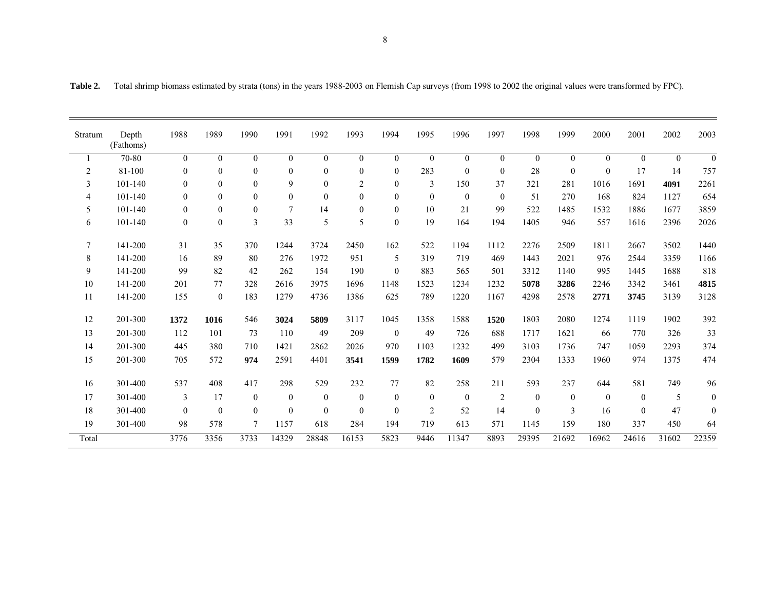| Stratum        | Depth<br>(Fathoms) | 1988           | 1989           | 1990           | 1991             | 1992           | 1993           | 1994           | 1995           | 1996           | 1997           | 1998             | 1999             | 2000             | 2001             | 2002           | 2003             |
|----------------|--------------------|----------------|----------------|----------------|------------------|----------------|----------------|----------------|----------------|----------------|----------------|------------------|------------------|------------------|------------------|----------------|------------------|
|                | 70-80              | $\overline{0}$ | $\overline{0}$ | $\overline{0}$ | $\boldsymbol{0}$ | $\overline{0}$ | $\overline{0}$ | $\overline{0}$ | $\overline{0}$ | $\overline{0}$ | $\overline{0}$ | $\boldsymbol{0}$ | $\boldsymbol{0}$ | $\boldsymbol{0}$ | $\boldsymbol{0}$ | $\overline{0}$ | $\theta$         |
| $\overline{c}$ | 81-100             | $\mathbf{0}$   | $\theta$       | $\theta$       | $\mathbf{0}$     | $\mathbf{0}$   | $\theta$       | $\theta$       | 283            | $\mathbf{0}$   | $\theta$       | 28               | $\mathbf{0}$     | $\boldsymbol{0}$ | 17               | 14             | 757              |
| 3              | 101-140            | $\mathbf{0}$   | $\overline{0}$ | $\theta$       | 9                | $\mathbf{0}$   | $\overline{2}$ | $\mathbf{0}$   | 3              | 150            | 37             | 321              | 281              | 1016             | 1691             | 4091           | 2261             |
| 4              | 101-140            | $\theta$       | $\theta$       | $\theta$       | $\mathbf{0}$     | $\mathbf{0}$   | $\overline{0}$ | $\mathbf{0}$   | $\overline{0}$ | $\overline{0}$ | $\mathbf{0}$   | 51               | 270              | 168              | 824              | 1127           | 654              |
| 5              | 101-140            | $\mathbf{0}$   | $\overline{0}$ | $\theta$       | $\overline{7}$   | 14             | $\overline{0}$ | $\mathbf{0}$   | 10             | 21             | 99             | 522              | 1485             | 1532             | 1886             | 1677           | 3859             |
| 6              | 101-140            | $\mathbf{0}$   | $\theta$       | 3              | 33               | 5              | 5              | $\theta$       | 19             | 164            | 194            | 1405             | 946              | 557              | 1616             | 2396           | 2026             |
| $\tau$         | 141-200            | 31             | 35             | 370            | 1244             | 3724           | 2450           | 162            | 522            | 1194           | 1112           | 2276             | 2509             | 1811             | 2667             | 3502           | 1440             |
| 8              | 141-200            | 16             | 89             | 80             | 276              | 1972           | 951            | 5              | 319            | 719            | 469            | 1443             | 2021             | 976              | 2544             | 3359           | 1166             |
| 9              | 141-200            | 99             | 82             | 42             | 262              | 154            | 190            | $\overline{0}$ | 883            | 565            | 501            | 3312             | 1140             | 995              | 1445             | 1688           | 818              |
| 10             | 141-200            | 201            | 77             | 328            | 2616             | 3975           | 1696           | 1148           | 1523           | 1234           | 1232           | 5078             | 3286             | 2246             | 3342             | 3461           | 4815             |
| 11             | 141-200            | 155            | $\mathbf{0}$   | 183            | 1279             | 4736           | 1386           | 625            | 789            | 1220           | 1167           | 4298             | 2578             | 2771             | 3745             | 3139           | 3128             |
| 12             | 201-300            | 1372           | 1016           | 546            | 3024             | 5809           | 3117           | 1045           | 1358           | 1588           | 1520           | 1803             | 2080             | 1274             | 1119             | 1902           | 392              |
| 13             | 201-300            | 112            | 101            | 73             | 110              | 49             | 209            | $\overline{0}$ | 49             | 726            | 688            | 1717             | 1621             | 66               | 770              | 326            | 33               |
| 14             | 201-300            | 445            | 380            | 710            | 1421             | 2862           | 2026           | 970            | 1103           | 1232           | 499            | 3103             | 1736             | 747              | 1059             | 2293           | 374              |
| 15             | 201-300            | 705            | 572            | 974            | 2591             | 4401           | 3541           | 1599           | 1782           | 1609           | 579            | 2304             | 1333             | 1960             | 974              | 1375           | 474              |
| 16             | 301-400            | 537            | 408            | 417            | 298              | 529            | 232            | 77             | 82             | 258            | 211            | 593              | 237              | 644              | 581              | 749            | 96               |
| 17             | 301-400            | 3              | 17             | $\mathbf{0}$   | $\overline{0}$   | $\mathbf{0}$   | $\mathbf{0}$   | $\overline{0}$ | $\overline{0}$ | $\mathbf{0}$   | $\sqrt{2}$     | $\boldsymbol{0}$ | $\boldsymbol{0}$ | $\boldsymbol{0}$ | $\boldsymbol{0}$ | 5              | $\boldsymbol{0}$ |
| 18             | 301-400            | $\theta$       | $\theta$       | $\theta$       | $\mathbf{0}$     | $\theta$       | $\theta$       | $\theta$       | 2              | 52             | 14             | $\boldsymbol{0}$ | 3                | 16               | $\mathbf{0}$     | 47             | $\mathbf{0}$     |
| 19             | 301-400            | 98             | 578            | 7              | 1157             | 618            | 284            | 194            | 719            | 613            | 571            | 1145             | 159              | 180              | 337              | 450            | 64               |
| Total          |                    | 3776           | 3356           | 3733           | 14329            | 28848          | 16153          | 5823           | 9446           | 11347          | 8893           | 29395            | 21692            | 16962            | 24616            | 31602          | 22359            |

**Table 2.** Total shrimp biomass estimated by strata (tons) in the years 1988-2003 on Flemish Cap surveys (from 1998 to 2002 the original values were transformed by FPC).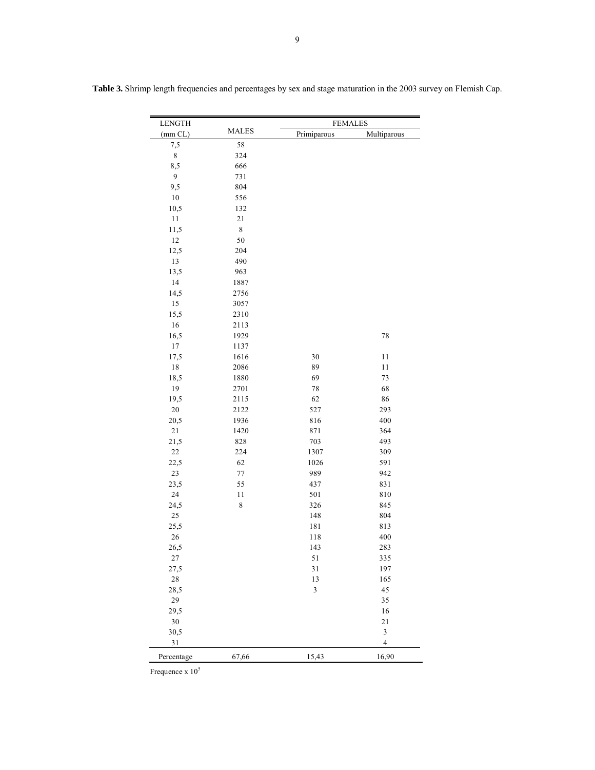| <b>LENGTH</b> |                 | <b>FEMALES</b> |                         |  |  |  |  |  |  |
|---------------|-----------------|----------------|-------------------------|--|--|--|--|--|--|
| (mm CL)       | <b>MALES</b>    | Primiparous    | Multiparous             |  |  |  |  |  |  |
| 7,5           | 58              |                |                         |  |  |  |  |  |  |
| $\,$ $\,$     | 324             |                |                         |  |  |  |  |  |  |
| 8,5           | 666             |                |                         |  |  |  |  |  |  |
| 9             | 731             |                |                         |  |  |  |  |  |  |
| 9,5           | 804             |                |                         |  |  |  |  |  |  |
| 10            | 556             |                |                         |  |  |  |  |  |  |
| 10,5          | 132             |                |                         |  |  |  |  |  |  |
| $11\,$        | $2\sqrt{1}$     |                |                         |  |  |  |  |  |  |
| 11,5          | $\,$ $\,$       |                |                         |  |  |  |  |  |  |
| $12\,$        | 50              |                |                         |  |  |  |  |  |  |
| 12,5          | 204             |                |                         |  |  |  |  |  |  |
| 13            | 490             |                |                         |  |  |  |  |  |  |
| 13,5          | 963             |                |                         |  |  |  |  |  |  |
| 14            | 1887            |                |                         |  |  |  |  |  |  |
| 14,5          | 2756            |                |                         |  |  |  |  |  |  |
| 15            | 3057            |                |                         |  |  |  |  |  |  |
| 15,5          | 2310            |                |                         |  |  |  |  |  |  |
| 16            | 2113            |                |                         |  |  |  |  |  |  |
| 16,5          | 1929            |                | 78                      |  |  |  |  |  |  |
| 17            | 1137            |                |                         |  |  |  |  |  |  |
| 17,5          | 1616            | 30             | 11                      |  |  |  |  |  |  |
| $18\,$        | 2086            | 89             | 11                      |  |  |  |  |  |  |
| 18,5          | 1880            | 69             | 73                      |  |  |  |  |  |  |
| 19            | 2701            | 78             | 68                      |  |  |  |  |  |  |
| 19,5          | 2115            | 62             | 86                      |  |  |  |  |  |  |
| $20\,$        | 2122            | 527            | 293                     |  |  |  |  |  |  |
| 20,5          | 1936            | 816            | 400                     |  |  |  |  |  |  |
| $21\,$        | 1420            | 871            | 364                     |  |  |  |  |  |  |
| 21,5          | 828             | 703            | 493                     |  |  |  |  |  |  |
| $22\,$        | 224             | 1307           | 309                     |  |  |  |  |  |  |
| 22,5          | 62              | 1026           | 591                     |  |  |  |  |  |  |
| $23\,$        | 77              | 989            | 942                     |  |  |  |  |  |  |
| 23,5          | 55              | 437            | 831                     |  |  |  |  |  |  |
| 24            | 11<br>$\,$ $\,$ | 501            | 810                     |  |  |  |  |  |  |
| 24,5<br>25    |                 | 326            | 845<br>804              |  |  |  |  |  |  |
|               |                 | 148            |                         |  |  |  |  |  |  |
| 25,5<br>26    |                 | 181<br>118     | 813<br>400              |  |  |  |  |  |  |
| 26,5          |                 | 143            | 283                     |  |  |  |  |  |  |
| 27            |                 | 51             | 335                     |  |  |  |  |  |  |
| 27,5          |                 | $3\sqrt{1}$    | 197                     |  |  |  |  |  |  |
| $28\,$        |                 | 13             | 165                     |  |  |  |  |  |  |
| 28,5          |                 | $\mathfrak{Z}$ | 45                      |  |  |  |  |  |  |
| 29            |                 |                | 35                      |  |  |  |  |  |  |
| 29,5          |                 |                | 16                      |  |  |  |  |  |  |
| $30\,$        |                 |                | $21\,$                  |  |  |  |  |  |  |
| 30,5          |                 |                | $\sqrt{3}$              |  |  |  |  |  |  |
| 31            |                 |                | $\overline{\mathbf{4}}$ |  |  |  |  |  |  |
|               |                 |                |                         |  |  |  |  |  |  |
| Percentage    | 67,66           | 15,43          | 16,90                   |  |  |  |  |  |  |

**Table 3.** Shrimp length frequencies and percentages by sex and stage maturation in the 2003 survey on Flemish Cap.

Frequence  $x 10^5$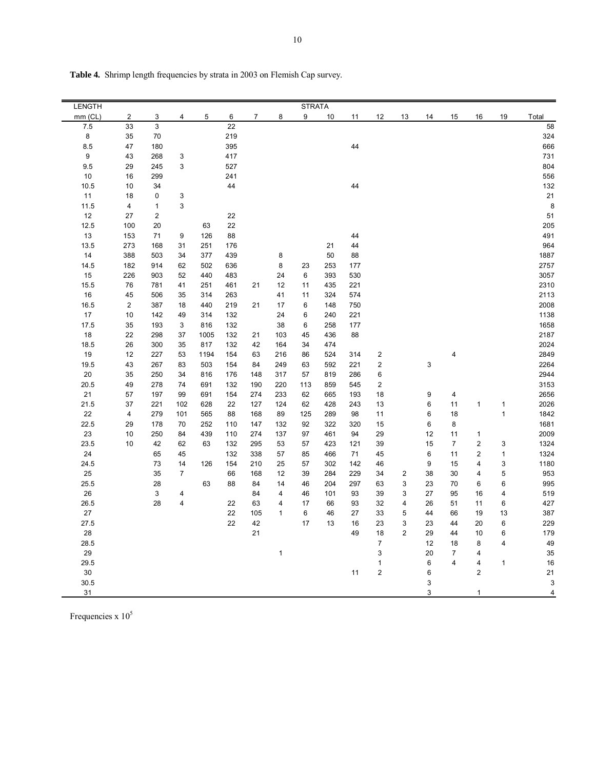| LENGTH  |                |                         |                           |      |     |                |                | <b>STRATA</b> |     |     |                         |                |             |                     |                         |              |                         |
|---------|----------------|-------------------------|---------------------------|------|-----|----------------|----------------|---------------|-----|-----|-------------------------|----------------|-------------|---------------------|-------------------------|--------------|-------------------------|
| mm (CL) | $\overline{c}$ | 3                       | 4                         | 5    | 6   | $\overline{7}$ | 8              | 9             | 10  | 11  | 12                      | 13             | 14          | 15                  | 16                      | 19           | Total                   |
| 7.5     | 33             | 3                       |                           |      | 22  |                |                |               |     |     |                         |                |             |                     |                         |              | 58                      |
| 8       | 35             | 70                      |                           |      | 219 |                |                |               |     |     |                         |                |             |                     |                         |              | 324                     |
| 8.5     | 47             | 180                     |                           |      | 395 |                |                |               |     | 44  |                         |                |             |                     |                         |              | 666                     |
| 9       | 43             | 268                     | 3                         |      | 417 |                |                |               |     |     |                         |                |             |                     |                         |              | 731                     |
| 9.5     | 29             | 245                     | $\mathsf 3$               |      | 527 |                |                |               |     |     |                         |                |             |                     |                         |              | 804                     |
| 10      | 16             | 299                     |                           |      | 241 |                |                |               |     |     |                         |                |             |                     |                         |              | 556                     |
| 10.5    | 10             | 34                      |                           |      | 44  |                |                |               |     | 44  |                         |                |             |                     |                         |              | 132                     |
| 11      | 18             | 0                       | 3                         |      |     |                |                |               |     |     |                         |                |             |                     |                         |              | 21                      |
| 11.5    | 4              | $\mathbf{1}$            | 3                         |      |     |                |                |               |     |     |                         |                |             |                     |                         |              | 8                       |
| 12      | 27             | $\overline{\mathbf{c}}$ |                           |      | 22  |                |                |               |     |     |                         |                |             |                     |                         |              | 51                      |
| 12.5    | 100            | 20                      |                           | 63   | 22  |                |                |               |     |     |                         |                |             |                     |                         |              | 205                     |
| 13      | 153            | 71                      | 9                         | 126  | 88  |                |                |               |     | 44  |                         |                |             |                     |                         |              | 491                     |
| 13.5    | 273            | 168                     | 31                        | 251  | 176 |                |                |               | 21  | 44  |                         |                |             |                     |                         |              | 964                     |
| 14      | 388            | 503                     | 34                        | 377  | 439 |                | 8              |               | 50  | 88  |                         |                |             |                     |                         |              | 1887                    |
| 14.5    | 182            | 914                     | 62                        | 502  | 636 |                | 8              | 23            | 253 | 177 |                         |                |             |                     |                         |              | 2757                    |
| 15      | 226            | 903                     | 52                        | 440  | 483 |                | 24             | 6             | 393 | 530 |                         |                |             |                     |                         |              | 3057                    |
| 15.5    | 76             | 781                     | 41                        | 251  | 461 | 21             | 12             | 11            | 435 | 221 |                         |                |             |                     |                         |              | 2310                    |
| 16      | 45             | 506                     | 35                        | 314  | 263 |                | 41             | 11            | 324 | 574 |                         |                |             |                     |                         |              | 2113                    |
| 16.5    | 2              | 387                     | 18                        | 440  | 219 | 21             | 17             | 6             | 148 | 750 |                         |                |             |                     |                         |              | 2008                    |
| $17$    | 10             | 142                     | 49                        | 314  | 132 |                | 24             | 6             | 240 | 221 |                         |                |             |                     |                         |              | 1138                    |
| 17.5    | 35             | 193                     | $\ensuremath{\mathsf{3}}$ | 816  | 132 |                | 38             | 6             | 258 | 177 |                         |                |             |                     |                         |              | 1658                    |
| 18      | 22             | 298                     | 37                        | 1005 | 132 | 21             | 103            | 45            | 436 | 88  |                         |                |             |                     |                         |              | 2187                    |
| 18.5    | 26             | 300                     | 35                        | 817  | 132 | 42             | 164            | 34            | 474 |     |                         |                |             |                     |                         |              | 2024                    |
| 19      | 12             | 227                     | 53                        | 1194 | 154 | 63             | 216            | 86            | 524 | 314 | $\overline{\mathbf{c}}$ |                |             | 4                   |                         |              | 2849                    |
| 19.5    | 43             | 267                     | 83                        | 503  | 154 | 84             | 249            | 63            | 592 | 221 | 2                       |                | $\mathsf 3$ |                     |                         |              | 2264                    |
| $20\,$  | 35             | 250                     | 34                        | 816  | 176 | 148            | 317            | 57            | 819 | 286 | 6                       |                |             |                     |                         |              | 2944                    |
| 20.5    | 49             | 278                     | 74                        | 691  | 132 | 190            | 220            | 113           | 859 | 545 | 2                       |                |             |                     |                         |              | 3153                    |
| 21      | 57             | 197                     | 99                        | 691  | 154 | 274            | 233            | 62            | 665 | 193 | 18                      |                | 9           | $\overline{4}$      |                         |              | 2656                    |
| 21.5    | 37             | 221                     | 102                       | 628  | 22  | 127            | 124            | 62            | 428 | 243 | 13                      |                | 6           | 11                  | 1                       | $\mathbf{1}$ | 2026                    |
| 22      | 4              | 279                     | 101                       | 565  | 88  | 168            | 89             | 125           | 289 | 98  | 11                      |                | 6           | 18                  |                         | $\mathbf{1}$ | 1842                    |
| 22.5    | 29             | 178                     | 70                        | 252  | 110 | 147            | 132            | 92            | 322 | 320 | 15                      |                | 6           | 8                   |                         |              | 1681                    |
| 23      | 10             | 250                     | 84                        | 439  | 110 | 274            | 137            | 97            | 461 | 94  | 29                      |                | 12          | 11                  | $\mathbf{1}$            |              | 2009                    |
| 23.5    | 10             | 42                      | 62                        | 63   | 132 | 295            | 53             | 57            | 423 | 121 | 39                      |                | 15          | $\overline{7}$      | $\overline{\mathbf{c}}$ | 3            | 1324                    |
| 24      |                | 65                      | 45                        |      | 132 | 338            | 57             | 85            | 466 | 71  | 45                      |                | 6           | 11                  | $\overline{c}$          | $\mathbf{1}$ | 1324                    |
| 24.5    |                | 73                      | 14                        | 126  | 154 | 210            | 25             | 57            | 302 | 142 | 46                      |                | 9           | 15                  | 4                       | 3            | 1180                    |
| 25      |                | 35                      | $\overline{7}$            |      | 66  | 168            | 12             | 39            | 284 | 229 | 34                      | $\overline{2}$ | 38          | 30                  | 4                       | 5            | 953                     |
| 25.5    |                | 28                      |                           | 63   | 88  | 84             | 14             | 46            | 204 | 297 | 63                      | 3              | 23          | 70                  | 6                       | 6            | 995                     |
| 26      |                | 3                       | $\overline{\mathbf{4}}$   |      |     | 84             | $\overline{4}$ | 46            | 101 | 93  | 39                      | 3              | 27          | 95                  | 16                      | 4            | 519                     |
| 26.5    |                | 28                      | 4                         |      | 22  | 63             | 4              | 17            | 66  | 93  | 32                      | 4              | 26          | 51                  | 11                      | 6            | 427                     |
| 27      |                |                         |                           |      | 22  | 105            | $\mathbf{1}$   | 6             | 46  | 27  | 33                      | 5              | 44          | 66                  | 19                      | 13           | 387                     |
| 27.5    |                |                         |                           |      | 22  | 42             |                | 17            | 13  | 16  | 23                      | 3              | 23          | 44                  | 20                      | $\,6\,$      | 229                     |
|         |                |                         |                           |      |     | 21             |                |               |     | 49  | 18                      | $\overline{2}$ | 29          | 44                  | 10                      | 6            |                         |
| 28      |                |                         |                           |      |     |                |                |               |     |     | $\overline{7}$          |                | 12          | 18                  | 8                       | 4            | 179<br>49               |
| 28.5    |                |                         |                           |      |     |                |                |               |     |     |                         |                |             |                     |                         |              |                         |
| 29      |                |                         |                           |      |     |                | $\mathbf{1}$   |               |     |     | 3                       |                | 20          | $\overline{7}$<br>4 | 4                       |              | 35                      |
| 29.5    |                |                         |                           |      |     |                |                |               |     |     | $\mathbf{1}$            |                | 6           |                     | 4<br>$\overline{2}$     | $\mathbf{1}$ | 16                      |
| $30\,$  |                |                         |                           |      |     |                |                |               |     | 11  | 2                       |                | 6           |                     |                         |              | 21                      |
| 30.5    |                |                         |                           |      |     |                |                |               |     |     |                         |                | 3           |                     |                         |              | 3                       |
| 31      |                |                         |                           |      |     |                |                |               |     |     |                         |                | 3           |                     | 1                       |              | $\overline{\mathbf{4}}$ |

**Table 4.** Shrimp length frequencies by strata in 2003 on Flemish Cap survey.

Frequencies x  $10^5$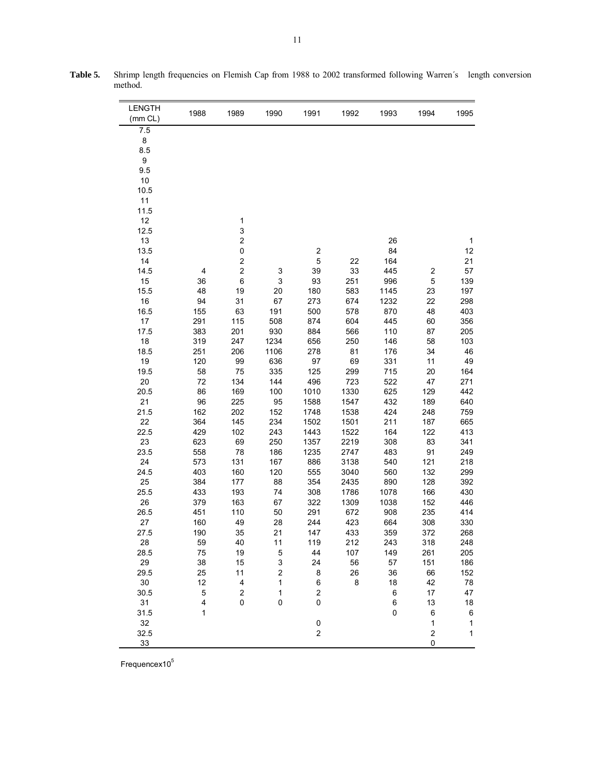| <b>LENGTH</b> | 1988     | 1989                                      | 1990                                    | 1991             | 1992    | 1993     | 1994                    | 1995         |
|---------------|----------|-------------------------------------------|-----------------------------------------|------------------|---------|----------|-------------------------|--------------|
| (mm CL)       |          |                                           |                                         |                  |         |          |                         |              |
| 7.5           |          |                                           |                                         |                  |         |          |                         |              |
| 8             |          |                                           |                                         |                  |         |          |                         |              |
| 8.5           |          |                                           |                                         |                  |         |          |                         |              |
| 9             |          |                                           |                                         |                  |         |          |                         |              |
| 9.5           |          |                                           |                                         |                  |         |          |                         |              |
| 10            |          |                                           |                                         |                  |         |          |                         |              |
| 10.5          |          |                                           |                                         |                  |         |          |                         |              |
| 11            |          |                                           |                                         |                  |         |          |                         |              |
| 11.5          |          |                                           |                                         |                  |         |          |                         |              |
| 12            |          | 1<br>3                                    |                                         |                  |         |          |                         |              |
| 12.5<br>13    |          | $\overline{\mathbf{c}}$                   |                                         |                  |         |          |                         |              |
| 13.5          |          | 0                                         |                                         | $\boldsymbol{2}$ |         | 26<br>84 |                         | 1<br>12      |
| 14            |          | $\overline{\mathbf{c}}$                   |                                         | 5                | 22      | 164      |                         | 21           |
| 14.5          | 4        | $\overline{\mathbf{c}}$                   | 3                                       | 39               | 33      | 445      | $\boldsymbol{2}$        | 57           |
| 15            | 36       | 6                                         | 3                                       | 93               | 251     | 996      | 5                       | 139          |
| 15.5          | 48       | 19                                        | 20                                      | 180              | 583     | 1145     | 23                      | 197          |
| 16            | 94       | 31                                        | 67                                      | 273              | 674     | 1232     | 22                      | 298          |
| 16.5          | 155      | 63                                        | 191                                     | 500              | 578     | 870      | 48                      | 403          |
| 17            | 291      | 115                                       | 508                                     | 874              | 604     | 445      | 60                      | 356          |
| 17.5          | 383      | 201                                       | 930                                     | 884              | 566     | 110      | 87                      | 205          |
| 18            | 319      | 247                                       | 1234                                    | 656              | 250     | 146      | 58                      | 103          |
| 18.5          | 251      | 206                                       | 1106                                    | 278              | 81      | 176      | 34                      | 46           |
| 19            | 120      | 99                                        | 636                                     | 97               | 69      | 331      | 11                      | 49           |
| 19.5          | 58       | 75                                        | 335                                     | 125              | 299     | 715      | 20                      | 164          |
| 20            | 72       | 134                                       | 144                                     | 496              | 723     | 522      | 47                      | 271          |
| 20.5          | 86       | 169                                       | 100                                     | 1010             | 1330    | 625      | 129                     | 442          |
| 21            | 96       | 225                                       | 95                                      | 1588             | 1547    | 432      | 189                     | 640          |
| 21.5          | 162      | 202                                       | 152                                     | 1748             | 1538    | 424      | 248                     | 759          |
| 22            | 364      | 145                                       | 234                                     | 1502             | 1501    | 211      | 187                     | 665          |
| 22.5          | 429      | 102                                       | 243                                     | 1443             | 1522    | 164      | 122                     | 413          |
| 23            | 623      | 69                                        | 250                                     | 1357             | 2219    | 308      | 83                      | 341          |
| 23.5          | 558      | 78                                        | 186                                     | 1235             | 2747    | 483      | 91                      | 249          |
| 24            | 573      | 131                                       | 167                                     | 886              | 3138    | 540      | 121                     | 218          |
| 24.5          | 403      | 160                                       | 120                                     | 555              | 3040    | 560      | 132                     | 299          |
| 25            | 384      | 177                                       | 88                                      | 354              | 2435    | 890      | 128                     | 392          |
| 25.5          | 433      | 193                                       | 74                                      | 308              | 1786    | 1078     | 166                     | 430          |
| 26            | 379      | 163                                       | 67                                      | 322              | 1309    | 1038     | 152                     | 446          |
| 26.5          | 451      | 110                                       | 50                                      | 291              | 672     | 908      | 235                     | 414          |
| 27            | 160      | 49                                        | 28                                      | 244              | 423     | 664      | 308                     | 330          |
| 27.5          | 190      | 35                                        | 21                                      | 147              | 433     | 359      | 372                     | 268          |
| 28            | 59       | 40                                        | 11                                      | 119              | 212     | 243      | 318                     | 248          |
| 28.5          | 75       | 19                                        | 5                                       | 44               | 107     | 149      | 261                     | 205          |
| 29            | 38       | 15                                        | 3                                       | 24               | 56      | 57       | 151                     | 186          |
| 29.5<br>30    | 25<br>12 | 11                                        | $\overline{\mathbf{c}}$<br>$\mathbf{1}$ | 8                | 26<br>8 | 36       | 66                      | 152          |
|               | 5        | $\overline{\mathbf{4}}$<br>$\overline{c}$ | $\mathbf{1}$                            | 6<br>$\mathbf 2$ |         | 18<br>6  | 42                      | 78<br>47     |
| 30.5<br>31    | 4        | 0                                         | 0                                       | $\pmb{0}$        |         | 6        | 17<br>13                | 18           |
| 31.5          | 1        |                                           |                                         |                  |         | 0        | 6                       | 6            |
| 32            |          |                                           |                                         | $\mathbf 0$      |         |          | $\mathbf{1}$            | $\mathbf{1}$ |
| 32.5          |          |                                           |                                         | $\boldsymbol{2}$ |         |          | $\overline{\mathbf{c}}$ | 1            |
| 33            |          |                                           |                                         |                  |         |          | 0                       |              |

Table 5. Shrimp length frequencies on Flemish Cap from 1988 to 2002 transformed following Warren's length conversion method.

Frequencex10<sup>5</sup>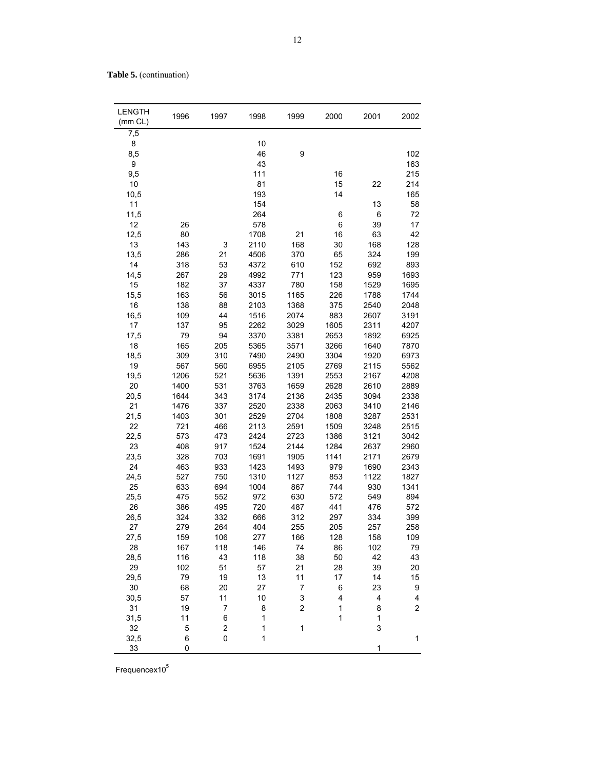Table 5. (continuation)

| <b>LENGTH</b><br>(mm CL) | 1996       | 1997           | 1998       | 1999                    | 2000       | 2001       | 2002                    |
|--------------------------|------------|----------------|------------|-------------------------|------------|------------|-------------------------|
| 7,5                      |            |                |            |                         |            |            |                         |
| 8                        |            |                | 10         |                         |            |            |                         |
| 8,5                      |            |                | 46         | 9                       |            |            | 102                     |
| $\boldsymbol{9}$         |            |                | 43         |                         |            |            | 163                     |
| 9,5                      |            |                | 111        |                         | 16         |            | 215                     |
| 10                       |            |                | 81         |                         | 15         | 22         | 214                     |
| 10,5                     |            |                | 193        |                         | 14         |            | 165                     |
| 11                       |            |                | 154        |                         |            | 13         | 58                      |
| 11,5                     |            |                | 264        |                         | 6          | $\,6$      | 72                      |
| 12                       | 26         |                | 578        |                         | 6          | 39         | 17                      |
| 12,5                     | 80         |                | 1708       | 21                      | 16         | 63         | 42                      |
| 13                       | 143        | 3              | 2110       | 168                     | 30         | 168        | 128                     |
| 13,5                     | 286        | 21             | 4506       | 370                     | 65         | 324        | 199                     |
| 14                       | 318        | 53             | 4372       | 610                     | 152        | 692        | 893                     |
| 14,5                     | 267        | 29             | 4992       | 771                     | 123        | 959        | 1693                    |
| 15                       | 182        | 37             | 4337       | 780                     | 158        | 1529       | 1695                    |
| 15,5                     | 163        | 56             | 3015       | 1165                    | 226        | 1788       | 1744                    |
| 16                       | 138        | 88             | 2103       | 1368                    | 375        | 2540       | 2048                    |
| 16,5                     | 109        | 44             | 1516       | 2074                    | 883        | 2607       | 3191                    |
| 17                       | 137        | 95             | 2262       | 3029                    | 1605       | 2311       | 4207                    |
| 17,5                     | 79         | 94             | 3370       | 3381                    | 2653       | 1892       | 6925                    |
| 18                       | 165        | 205            | 5365       | 3571                    | 3266       | 1640       | 7870                    |
| 18,5                     | 309        | 310            | 7490       | 2490                    | 3304       | 1920       | 6973                    |
| 19                       | 567        | 560            | 6955       | 2105                    | 2769       | 2115       | 5562                    |
| 19,5                     | 1206       | 521            | 5636       | 1391                    | 2553       | 2167       | 4208                    |
| 20                       | 1400       | 531            | 3763       | 1659                    | 2628       | 2610       | 2889                    |
| 20,5                     | 1644       | 343            | 3174       | 2136                    | 2435       | 3094       | 2338                    |
| 21                       | 1476       | 337            | 2520       | 2338                    | 2063       | 3410       | 2146                    |
| 21,5                     | 1403       | 301            | 2529       | 2704                    | 1808       | 3287       | 2531                    |
| 22                       | 721        | 466            | 2113       | 2591                    | 1509       | 3248       | 2515                    |
| 22,5                     | 573        | 473            | 2424       | 2723                    | 1386       | 3121       | 3042                    |
| 23                       | 408        | 917            | 1524       | 2144                    | 1284       | 2637       | 2960                    |
| 23,5                     | 328        | 703            | 1691       | 1905                    | 1141       | 2171       | 2679                    |
| 24                       | 463        | 933            | 1423       | 1493                    | 979        | 1690       | 2343                    |
| 24,5                     | 527        | 750            | 1310       | 1127                    | 853        | 1122       | 1827                    |
| 25                       | 633        | 694            | 1004       | 867                     | 744        | 930        | 1341                    |
| 25,5                     | 475        | 552            | 972        | 630                     | 572        | 549        | 894                     |
| 26                       | 386        | 495            | 720        | 487                     | 441        | 476        | 572                     |
| 26,5<br>27               | 324<br>279 | 332<br>264     | 666<br>404 | 312<br>255              | 297<br>205 | 334<br>257 | 399<br>258              |
| 27,5                     | 159        | 106            | 277        | 166                     | 128        | 158        | 109                     |
| 28                       | 167        | 118            | 146        | 74                      | 86         | 102        | 79                      |
| 28,5                     | 116        | 43             | 118        | 38                      | 50         | 42         | 43                      |
| 29                       | 102        | 51             | 57         | 21                      | 28         | 39         | 20                      |
| 29,5                     | 79         | 19             | 13         | 11                      | 17         | 14         | 15                      |
| 30                       | 68         | 20             | 27         | $\overline{7}$          | 6          | 23         | 9                       |
| 30,5                     | 57         | 11             | 10         | 3                       | 4          | 4          | 4                       |
| 31                       | 19         | 7              | 8          | $\overline{\mathbf{c}}$ | 1          | 8          | $\overline{\mathbf{c}}$ |
| 31,5                     | 11         | 6              | 1          |                         | 1          | 1          |                         |
| 32                       | 5          | $\overline{c}$ | 1          | $\mathbf{1}$            |            | 3          |                         |
| 32,5                     | 6          | 0              | 1          |                         |            |            | 1                       |
| 33                       | 0          |                |            |                         |            | 1          |                         |

Frequence $x10^5$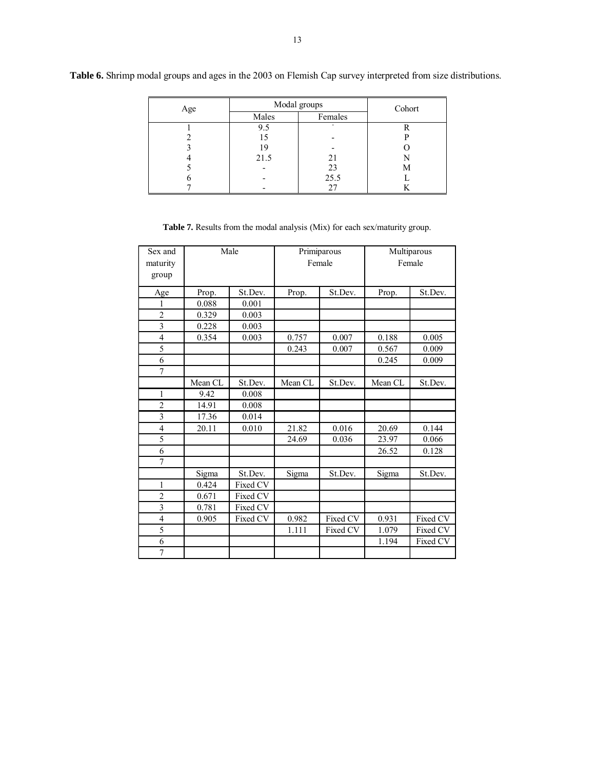| Age | Modal groups | Cohort            |     |
|-----|--------------|-------------------|-----|
|     | Males        | Females           |     |
|     | 9.5          |                   |     |
|     |              |                   |     |
|     |              |                   |     |
|     | 21.5         | 21                |     |
|     |              | $\frac{23}{25.5}$ | IVI |
|     |              |                   |     |
|     |              |                   |     |

**Table 6.** Shrimp modal groups and ages in the 2003 on Flemish Cap survey interpreted from size distributions.

| Sex and<br>maturity<br>group |         | Male     |         | Primiparous<br>Female | Multiparous<br>Female |          |  |  |
|------------------------------|---------|----------|---------|-----------------------|-----------------------|----------|--|--|
| Age                          | Prop.   | St.Dev.  | Prop.   | St.Dev.               | Prop.                 | St.Dev.  |  |  |
| 1                            | 0.088   | 0.001    |         |                       |                       |          |  |  |
| $\overline{2}$               | 0.329   | 0.003    |         |                       |                       |          |  |  |
| $\overline{3}$               | 0.228   | 0.003    |         |                       |                       |          |  |  |
| 4                            | 0.354   | 0.003    | 0.757   | 0.007                 | 0.188                 | 0.005    |  |  |
| 5                            |         |          | 0.243   | 0.007                 | 0.567                 | 0.009    |  |  |
| 6                            |         |          |         |                       | 0.245                 | 0.009    |  |  |
| 7                            |         |          |         |                       |                       |          |  |  |
|                              | Mean CL | St.Dev.  | Mean CL | St.Dev.               | Mean CL               | St.Dev.  |  |  |
| 1                            | 9.42    | 0.008    |         |                       |                       |          |  |  |
| $\overline{2}$               | 14.91   | 0.008    |         |                       |                       |          |  |  |
| $\overline{3}$               | 17.36   | 0.014    |         |                       |                       |          |  |  |
| 4                            | 20.11   | 0.010    | 21.82   | 0.016                 | 20.69                 | 0.144    |  |  |
| 5                            |         |          | 24.69   | 0.036                 | 23.97                 | 0.066    |  |  |
| 6                            |         |          |         |                       | 26.52                 | 0.128    |  |  |
| 7                            |         |          |         |                       |                       |          |  |  |
|                              | Sigma   | St.Dev.  | Sigma   | St.Dev.               | Sigma                 | St.Dev.  |  |  |
| 1                            | 0.424   | Fixed CV |         |                       |                       |          |  |  |
| $\overline{c}$               | 0.671   | Fixed CV |         |                       |                       |          |  |  |
| $\overline{3}$               | 0.781   | Fixed CV |         |                       |                       |          |  |  |
| $\overline{4}$               | 0.905   | Fixed CV | 0.982   | Fixed CV              | 0.931                 | Fixed CV |  |  |
| 5                            |         |          | 1.111   | Fixed CV              | 1.079                 | Fixed CV |  |  |
| 6                            |         |          |         |                       | 1.194                 | Fixed CV |  |  |
| $\overline{7}$               |         |          |         |                       |                       |          |  |  |

**Table 7.** Results from the modal analysis (Mix) for each sex/maturity group.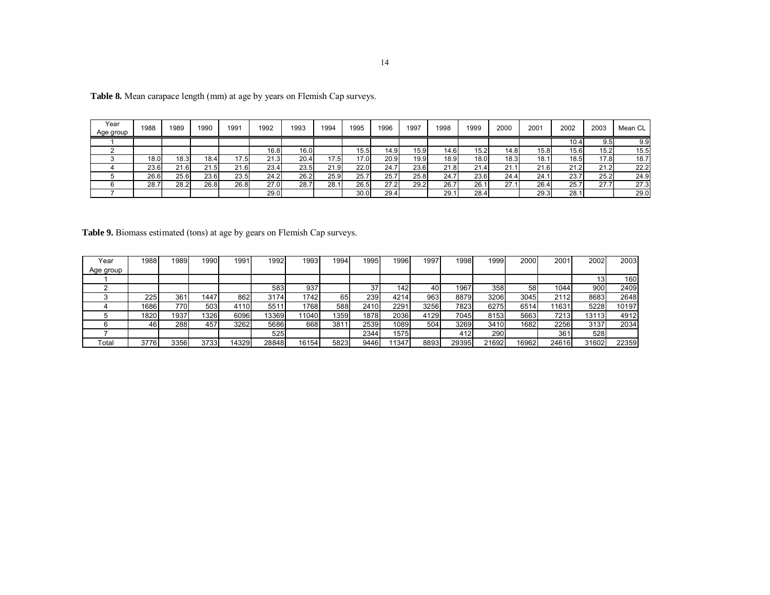| Year<br>Age group | 1988 | 1989 | 1990              | 1991 | 1992 | 1993 | 1994 | 1995 | 1996  | 1997 | 1998 | 1999 | 2000 | 2001  | 2002  | 2003 | Mean CL |
|-------------------|------|------|-------------------|------|------|------|------|------|-------|------|------|------|------|-------|-------|------|---------|
|                   |      |      |                   |      |      |      |      |      |       |      |      |      |      |       | 10.41 | 9.5  | 9.9     |
|                   |      |      |                   |      | 16.8 | 16.0 |      | 15.5 | 14.9I | 15.9 | 14.6 | 15.2 | 14.8 | 15.81 | 15.6  | 15.2 | 15.5    |
|                   | 18.0 | 18.3 | 18.4 <sub>1</sub> | 17.5 | 21.3 | 20.4 | 17.5 | 17.0 | 20.9  | 19.9 | 18.9 | 18.0 | 18.3 | 18.7  | 18.5  | 17.8 | 18.7    |
|                   | 23.6 | 21.6 | 21.5              | 21.6 | 23.4 | 23.5 | 21.9 | 22.0 | 24.7  | 23.6 | 21.8 | 21.4 | 21.  | 21.6  | 21.2  | 21.2 | 22.2    |
|                   | 26.6 | 25.6 | 23.6              | 23.5 | 24.2 | 26.2 | 25.9 | 25.7 | 25.7  | 25.8 | 24.7 | 23.6 | 24.4 | 24.   | 23.7  | 25.2 | 24.9    |
|                   | 28.  | 28.2 | 26.8              | 26.8 | 27.0 | 28.7 | 28.  | 26.5 | 27.2  | 29.2 | 26.7 | 26.7 | 27.  | 26.4  | 25.7  | 27.7 | 27.3    |
|                   |      |      |                   |      | 29.0 |      |      | 30.0 | 29.4  |      | 29.1 | 28.4 |      | 29.3  | 28.1  |      | 29.0    |

**Table 8.** Mean carapace length (mm) at age by years on Flemish Cap surveys.

 **Table 9.** Biomass estimated (tons) at age by gears on Flemish Cap surveys.

| Year      | 1988 | 989  | 1990 | 1991   | 1992  | 1993  | 1994  | 1995 | 1996 | 1997 | 998   | 1999  | 2000   | 2001  | 2002  | 2003  |
|-----------|------|------|------|--------|-------|-------|-------|------|------|------|-------|-------|--------|-------|-------|-------|
| Age group |      |      |      |        |       |       |       |      |      |      |       |       |        |       |       |       |
|           |      |      |      |        |       |       |       |      |      |      |       |       |        |       |       | 160   |
|           |      |      |      |        | 583   | 937   |       | 37   | 142  | 40   | 1967  | 358   | 58     | 1044  | 900   | 2409  |
|           | 225  | 361  | 1447 | 862    | 3174  | 1742  | 65    | 239  | 4214 | 963  | 8879  | 3206  | 3045   | 2112  | 8683  | 2648  |
|           | 1686 | 770  | 503  | 4110   | 5511  | 1768  | 588   | 2410 | 2291 | 3256 | 7823  | 6275  | 6514   | 11631 | 5228  | 10197 |
|           | 1820 | 1937 | 326  | 6096   | 13369 | 11040 | 13591 | 1878 | 2036 | 4129 | 7045  | 8153  | 5663   | 7213  | 13113 | 4912  |
|           | 46   | 288  | 457  | 3262   | 5686  | 668   | 3811  | 2539 | 1089 | 504  | 3269  | 3410  | 1682   | 2256  | 3137  | 2034  |
|           |      |      |      |        | 525   |       |       | 2344 | 1575 |      | 412   | 290   |        | 361   | 528   |       |
| Гоtal     | 3776 | 3356 | 3733 | 143291 | 28848 | 16154 | 5823  | 9446 | 1347 | 8893 | 29395 | 21692 | 169621 | 24616 | 31602 | 22359 |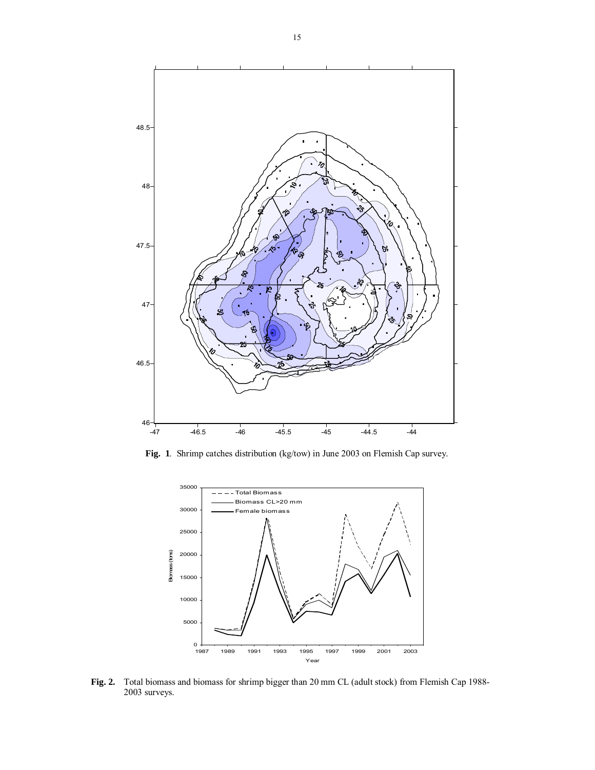

**Fig. 1**. Shrimp catches distribution (kg/tow) in June 2003 on Flemish Cap survey.



**Fig. 2.** Total biomass and biomass for shrimp bigger than 20 mm CL (adult stock) from Flemish Cap 1988- 2003 surveys.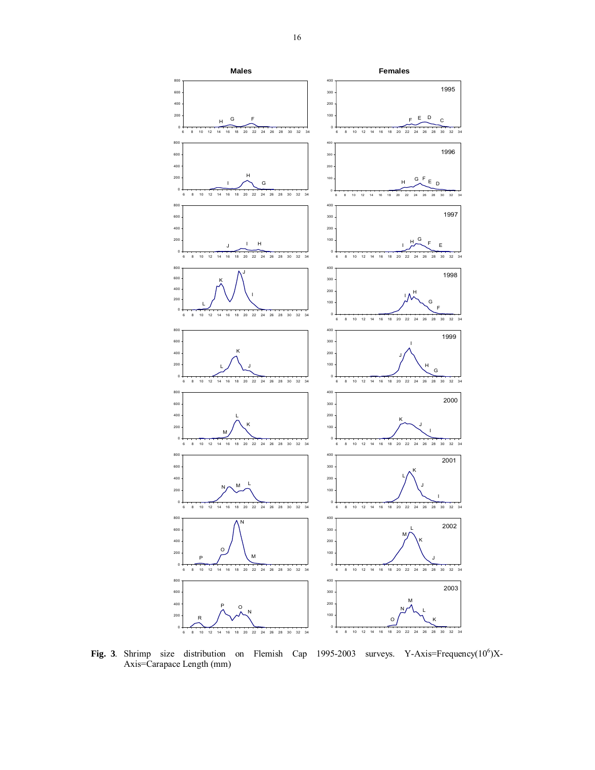

Fig. 3. Shrimp size distribution on Flemish Cap  $1995-2003$  surveys. Y-Axis=Frequency( $10^6$ )X-Axis=Carapace Length (mm)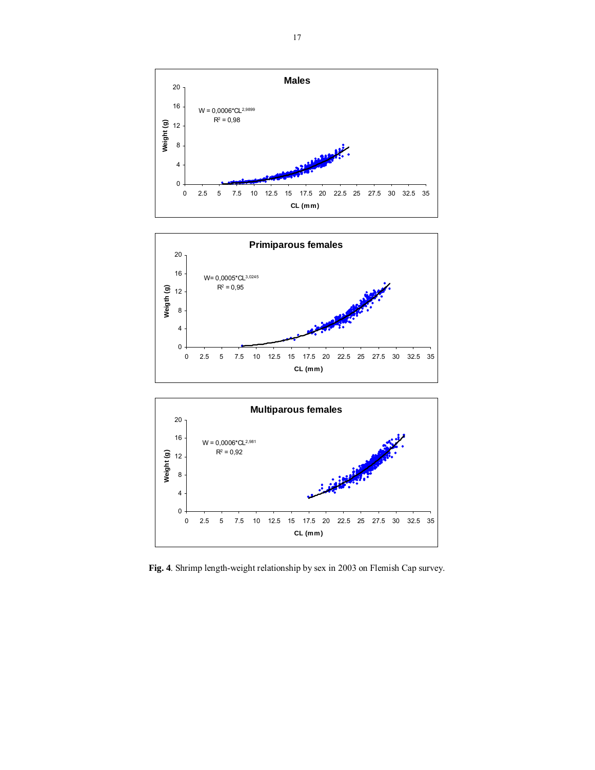





**Fig. 4**. Shrimp length-weight relationship by sex in 2003 on Flemish Cap survey.